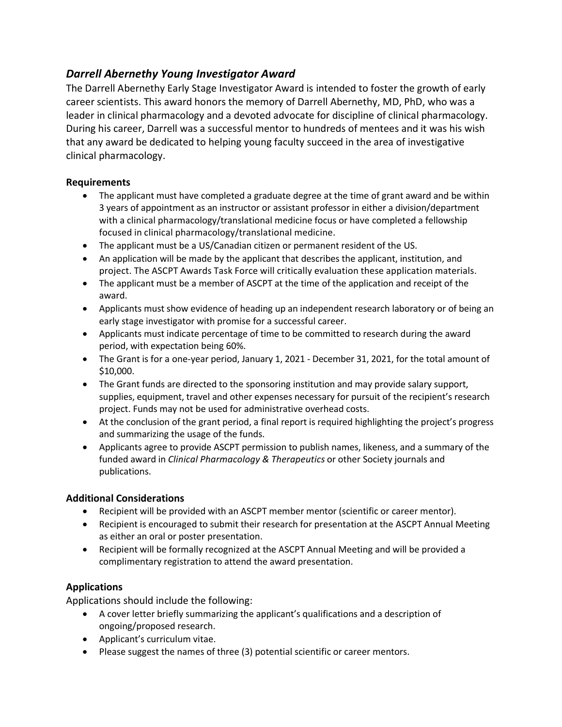# *Darrell Abernethy Young Investigator Award*

The Darrell Abernethy Early Stage Investigator Award is intended to foster the growth of early career scientists. This award honors the memory of Darrell Abernethy, MD, PhD, who was a leader in clinical pharmacology and a devoted advocate for discipline of clinical pharmacology. During his career, Darrell was a successful mentor to hundreds of mentees and it was his wish that any award be dedicated to helping young faculty succeed in the area of investigative clinical pharmacology.

## **Requirements**

- The applicant must have completed a graduate degree at the time of grant award and be within 3 years of appointment as an instructor or assistant professor in either a division/department with a clinical pharmacology/translational medicine focus or have completed a fellowship focused in clinical pharmacology/translational medicine.
- The applicant must be a US/Canadian citizen or permanent resident of the US.
- An application will be made by the applicant that describes the applicant, institution, and project. The ASCPT Awards Task Force will critically evaluation these application materials.
- The applicant must be a member of ASCPT at the time of the application and receipt of the award.
- Applicants must show evidence of heading up an independent research laboratory or of being an early stage investigator with promise for a successful career.
- Applicants must indicate percentage of time to be committed to research during the award period, with expectation being 60%.
- The Grant is for a one-year period, January 1, 2021 December 31, 2021, for the total amount of \$10,000.
- The Grant funds are directed to the sponsoring institution and may provide salary support, supplies, equipment, travel and other expenses necessary for pursuit of the recipient's research project. Funds may not be used for administrative overhead costs.
- At the conclusion of the grant period, a final report is required highlighting the project's progress and summarizing the usage of the funds.
- Applicants agree to provide ASCPT permission to publish names, likeness, and a summary of the funded award in *Clinical Pharmacology & Therapeutics* or other Society journals and publications.

## **Additional Considerations**

- Recipient will be provided with an ASCPT member mentor (scientific or career mentor).
- Recipient is encouraged to submit their research for presentation at the ASCPT Annual Meeting as either an oral or poster presentation.
- Recipient will be formally recognized at the ASCPT Annual Meeting and will be provided a complimentary registration to attend the award presentation.

## **Applications**

Applications should include the following:

- A cover letter briefly summarizing the applicant's qualifications and a description of ongoing/proposed research.
- Applicant's curriculum vitae.
- Please suggest the names of three (3) potential scientific or career mentors.